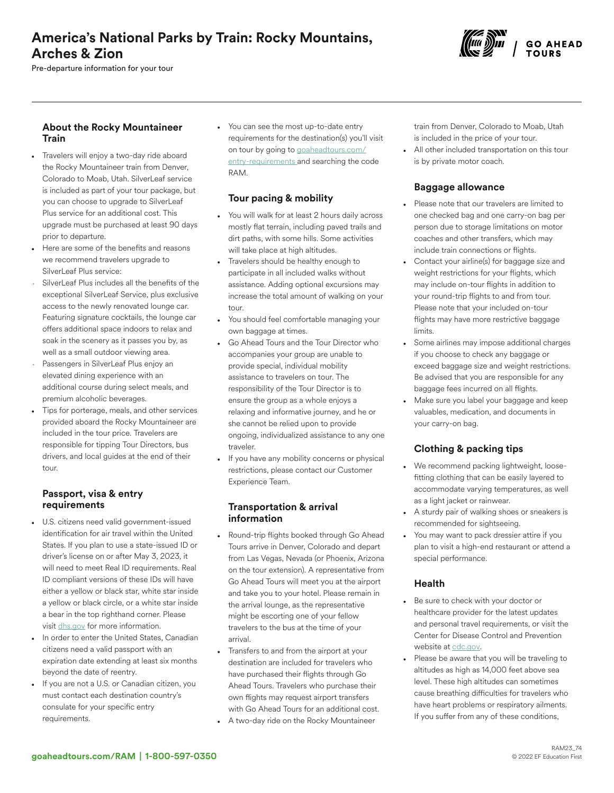Pre-departure information for your tour



#### About the Rocky Mountaineer **Train**

- Travelers will enjoy a two-day ride aboard the Rocky Mountaineer train from Denver, Colorado to Moab, Utah. SilverLeaf service is included as part of your tour package, but you can choose to upgrade to SilverLeaf Plus service for an additional cost. This upgrade must be purchased at least 90 days prior to departure.
- Here are some of the benefits and reasons we recommend travelers upgrade to SilverLeaf Plus service:
- SilverLeaf Plus includes all the benefits of the exceptional SilverLeaf Service, plus exclusive access to the newly renovated lounge car. Featuring signature cocktails, the lounge car offers additional space indoors to relax and soak in the scenery as it passes you by, as well as a small outdoor viewing area.
- Passengers in SilverLeaf Plus enjoy an elevated dining experience with an additional course during select meals, and premium alcoholic beverages.
- Tips for porterage, meals, and other services provided aboard the Rocky Mountaineer are included in the tour price. Travelers are responsible for tipping Tour Directors, bus drivers, and local guides at the end of their tour.

#### Passport, visa & entry requirements

- U.S. citizens need valid government-issued identification for air travel within the United States. If you plan to use a state-issued ID or driver's license on or after May 3, 2023, it will need to meet Real ID requirements. Real ID compliant versions of these IDs will have either a yellow or black star, white star inside a yellow or black circle, or a white star inside a bear in the top righthand corner. Please visit [dhs.gov](https://www.dhs.gov/real-id-frequently-asked-questions) for more information.
- In order to enter the United States, Canadian citizens need a valid passport with an expiration date extending at least six months beyond the date of reentry.
- If you are not a U.S. or Canadian citizen, you must contact each destination country's consulate for your specific entry requirements.

• You can see the most up-to-date entry requirements for the destination(s) you'll visit on tour by going to [goaheadtours.com/](/entry-requirements?tourCode=RAM) [entry-requirements](/entry-requirements?tourCode=RAM) and searching the code RAM.

## Tour pacing & mobility

- You will walk for at least 2 hours daily across mostly flat terrain, including paved trails and dirt paths, with some hills. Some activities will take place at high altitudes.
- Travelers should be healthy enough to participate in all included walks without assistance. Adding optional excursions may increase the total amount of walking on your tour.
- You should feel comfortable managing your own baggage at times.
- Go Ahead Tours and the Tour Director who accompanies your group are unable to provide special, individual mobility assistance to travelers on tour. The responsibility of the Tour Director is to ensure the group as a whole enjoys a relaxing and informative journey, and he or she cannot be relied upon to provide ongoing, individualized assistance to any one traveler.
- If you have any mobility concerns or physical restrictions, please contact our Customer Experience Team.

#### Transportation & arrival information

- Round-trip flights booked through Go Ahead Tours arrive in Denver, Colorado and depart from Las Vegas, Nevada (or Phoenix, Arizona on the tour extension). A representative from Go Ahead Tours will meet you at the airport and take you to your hotel. Please remain in the arrival lounge, as the representative might be escorting one of your fellow travelers to the bus at the time of your arrival.
- Transfers to and from the airport at your destination are included for travelers who have purchased their flights through Go Ahead Tours. Travelers who purchase their own flights may request airport transfers with Go Ahead Tours for an additional cost.
- A two-day ride on the Rocky Mountaineer

train from Denver, Colorado to Moab, Utah is included in the price of your tour.

All other included transportation on this tour is by private motor coach.

## Baggage allowance

- Please note that our travelers are limited to one checked bag and one carry-on bag per person due to storage limitations on motor coaches and other transfers, which may include train connections or flights.
- Contact your airline(s) for baggage size and weight restrictions for your flights, which may include on-tour flights in addition to your round-trip flights to and from tour. Please note that your included on-tour flights may have more restrictive baggage limits.
- Some airlines may impose additional charges if you choose to check any baggage or exceed baggage size and weight restrictions. Be advised that you are responsible for any baggage fees incurred on all flights.
- Make sure you label your baggage and keep valuables, medication, and documents in your carry-on bag.

## Clothing & packing tips

- We recommend packing lightweight, loosefitting clothing that can be easily layered to accommodate varying temperatures, as well as a light jacket or rainwear.
- A sturdy pair of walking shoes or sneakers is recommended for sightseeing.
- You may want to pack dressier attire if you plan to visit a high-end restaurant or attend a special performance.

## Health

- Be sure to check with your doctor or healthcare provider for the latest updates and personal travel requirements, or visit the Center for Disease Control and Prevention website at [cdc.gov.](https://www.cdc.gov/)
- Please be aware that you will be traveling to altitudes as high as 14,000 feet above sea level. These high altitudes can sometimes cause breathing difficulties for travelers who have heart problems or respiratory ailments. If you suffer from any of these conditions,